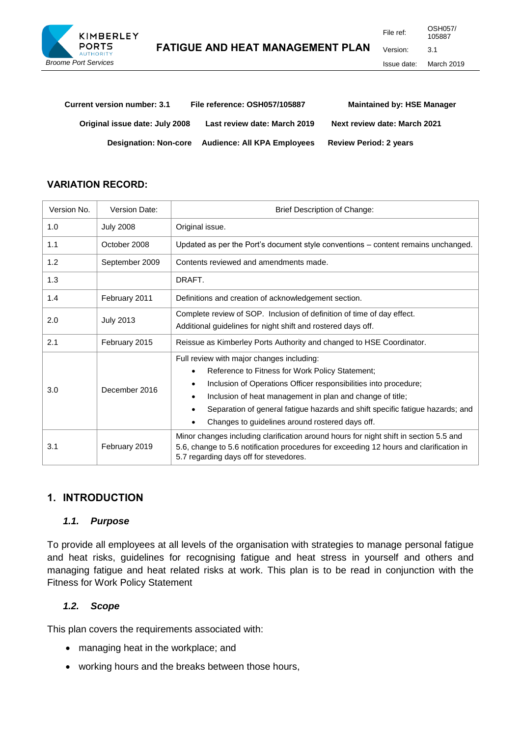

#### **FATIGUE AND HEAT MANAGEMENT PLAN**

File ref: 0SH057/ 105887 Version: 3.1

Issue date: March 2019

| <b>Current version number: 3.1</b> | File reference: OSH057/105887                     | <b>Maintained by: HSE Manager</b> |
|------------------------------------|---------------------------------------------------|-----------------------------------|
| Original issue date: July 2008     | Last review date: March 2019                      | Next review date: March 2021      |
|                                    | Designation: Non-core Audience: All KPA Employees | <b>Review Period: 2 years</b>     |

#### **VARIATION RECORD:**

| Version No. | Version Date:    | Brief Description of Change:                                                                                                                                                                                                                                                                                                                                                                             |  |
|-------------|------------------|----------------------------------------------------------------------------------------------------------------------------------------------------------------------------------------------------------------------------------------------------------------------------------------------------------------------------------------------------------------------------------------------------------|--|
| 1.0         | <b>July 2008</b> | Original issue.                                                                                                                                                                                                                                                                                                                                                                                          |  |
| 1.1         | October 2008     | Updated as per the Port's document style conventions – content remains unchanged.                                                                                                                                                                                                                                                                                                                        |  |
| 1.2         | September 2009   | Contents reviewed and amendments made.                                                                                                                                                                                                                                                                                                                                                                   |  |
| 1.3         |                  | DRAFT.                                                                                                                                                                                                                                                                                                                                                                                                   |  |
| 1.4         | February 2011    | Definitions and creation of acknowledgement section.                                                                                                                                                                                                                                                                                                                                                     |  |
| 2.0         | <b>July 2013</b> | Complete review of SOP. Inclusion of definition of time of day effect.<br>Additional guidelines for night shift and rostered days off.                                                                                                                                                                                                                                                                   |  |
| 2.1         | February 2015    | Reissue as Kimberley Ports Authority and changed to HSE Coordinator.                                                                                                                                                                                                                                                                                                                                     |  |
| 3.0         | December 2016    | Full review with major changes including:<br>Reference to Fitness for Work Policy Statement;<br>$\bullet$<br>Inclusion of Operations Officer responsibilities into procedure;<br>$\bullet$<br>Inclusion of heat management in plan and change of title;<br>Separation of general fatigue hazards and shift specific fatigue hazards; and<br>Changes to guidelines around rostered days off.<br>$\bullet$ |  |
| 3.1         | February 2019    | Minor changes including clarification around hours for night shift in section 5.5 and<br>5.6, change to 5.6 notification procedures for exceeding 12 hours and clarification in<br>5.7 regarding days off for stevedores.                                                                                                                                                                                |  |

### **1. INTRODUCTION**

#### *1.1. Purpose*

To provide all employees at all levels of the organisation with strategies to manage personal fatigue and heat risks, guidelines for recognising fatigue and heat stress in yourself and others and managing fatigue and heat related risks at work. This plan is to be read in conjunction with the Fitness for Work Policy Statement

#### *1.2. Scope*

This plan covers the requirements associated with:

- managing heat in the workplace; and
- working hours and the breaks between those hours,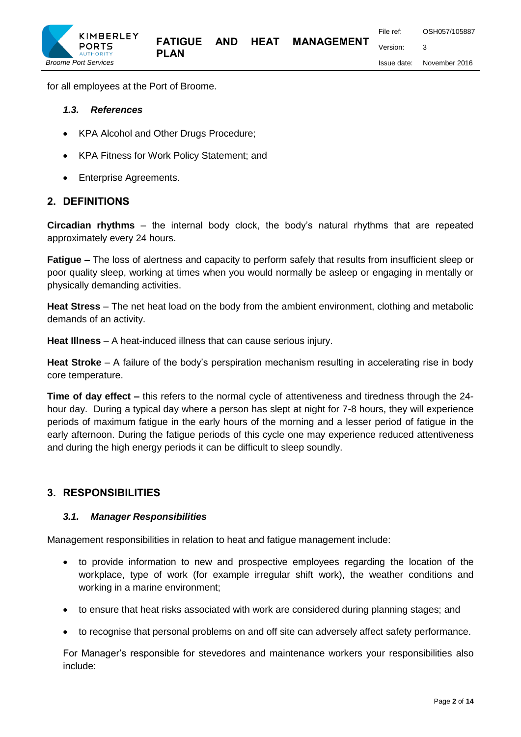for all employees at the Port of Broome.

## *1.3. References*

- KPA Alcohol and Other Drugs Procedure;
- KPA Fitness for Work Policy Statement; and
- Enterprise Agreements.

# **2. DEFINITIONS**

**Circadian rhythms** – the internal body clock, the body's natural rhythms that are repeated approximately every 24 hours.

**Fatigue –** The loss of alertness and capacity to perform safely that results from insufficient sleep or poor quality sleep, working at times when you would normally be asleep or engaging in mentally or physically demanding activities.

**Heat Stress** – The net heat load on the body from the ambient environment, clothing and metabolic demands of an activity.

**Heat Illness** – A heat-induced illness that can cause serious injury.

**Heat Stroke** – A failure of the body's perspiration mechanism resulting in accelerating rise in body core temperature.

**Time of day effect –** this refers to the normal cycle of attentiveness and tiredness through the 24 hour day. During a typical day where a person has slept at night for 7-8 hours, they will experience periods of maximum fatigue in the early hours of the morning and a lesser period of fatigue in the early afternoon. During the fatigue periods of this cycle one may experience reduced attentiveness and during the high energy periods it can be difficult to sleep soundly.

# **3. RESPONSIBILITIES**

# *3.1. Manager Responsibilities*

Management responsibilities in relation to heat and fatigue management include:

- to provide information to new and prospective employees regarding the location of the workplace, type of work (for example irregular shift work), the weather conditions and working in a marine environment;
- to ensure that heat risks associated with work are considered during planning stages; and
- to recognise that personal problems on and off site can adversely affect safety performance.

For Manager's responsible for stevedores and maintenance workers your responsibilities also include: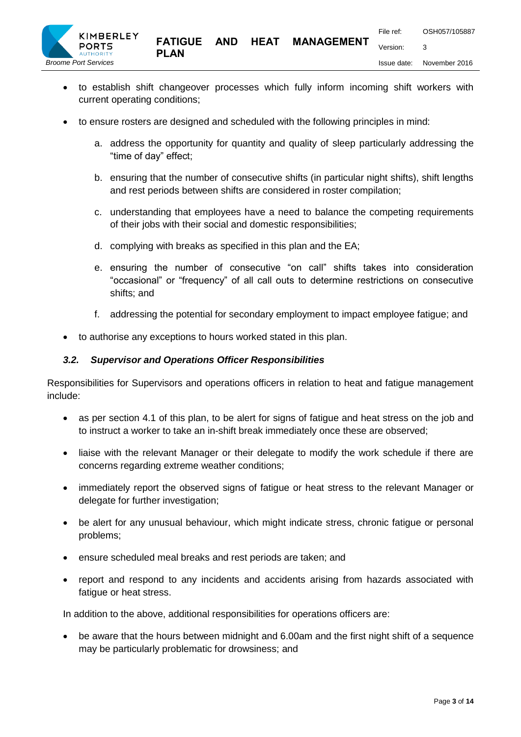- to establish shift changeover processes which fully inform incoming shift workers with current operating conditions;
- to ensure rosters are designed and scheduled with the following principles in mind:
	- a. address the opportunity for quantity and quality of sleep particularly addressing the "time of day" effect;
	- b. ensuring that the number of consecutive shifts (in particular night shifts), shift lengths and rest periods between shifts are considered in roster compilation;
	- c. understanding that employees have a need to balance the competing requirements of their jobs with their social and domestic responsibilities;
	- d. complying with breaks as specified in this plan and the EA;
	- e. ensuring the number of consecutive "on call" shifts takes into consideration "occasional" or "frequency" of all call outs to determine restrictions on consecutive shifts; and
	- f. addressing the potential for secondary employment to impact employee fatigue; and
- to authorise any exceptions to hours worked stated in this plan.

#### *3.2. Supervisor and Operations Officer Responsibilities*

Responsibilities for Supervisors and operations officers in relation to heat and fatigue management include:

- as per section 4.1 of this plan, to be alert for signs of fatigue and heat stress on the job and to instruct a worker to take an in-shift break immediately once these are observed;
- liaise with the relevant Manager or their delegate to modify the work schedule if there are concerns regarding extreme weather conditions;
- immediately report the observed signs of fatigue or heat stress to the relevant Manager or delegate for further investigation;
- be alert for any unusual behaviour, which might indicate stress, chronic fatigue or personal problems;
- ensure scheduled meal breaks and rest periods are taken; and
- report and respond to any incidents and accidents arising from hazards associated with fatigue or heat stress.

In addition to the above, additional responsibilities for operations officers are:

 be aware that the hours between midnight and 6.00am and the first night shift of a sequence may be particularly problematic for drowsiness; and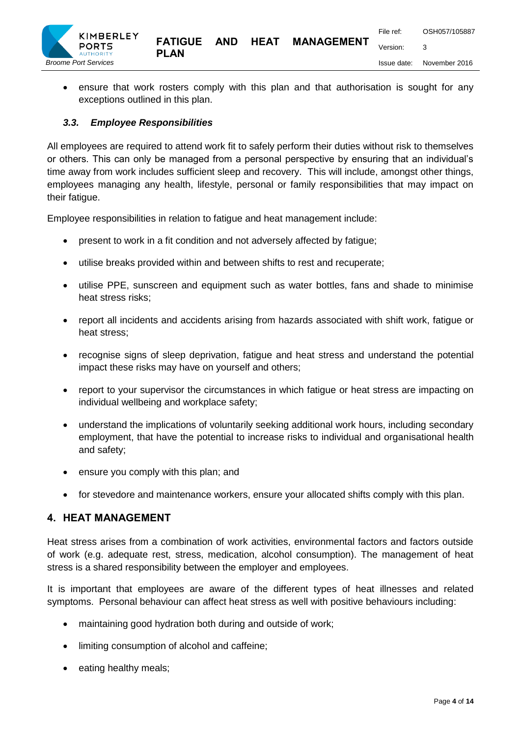• ensure that work rosters comply with this plan and that authorisation is sought for any exceptions outlined in this plan.

### *3.3. Employee Responsibilities*

All employees are required to attend work fit to safely perform their duties without risk to themselves or others. This can only be managed from a personal perspective by ensuring that an individual's time away from work includes sufficient sleep and recovery. This will include, amongst other things, employees managing any health, lifestyle, personal or family responsibilities that may impact on their fatigue.

Employee responsibilities in relation to fatigue and heat management include:

- present to work in a fit condition and not adversely affected by fatigue;
- utilise breaks provided within and between shifts to rest and recuperate;
- utilise PPE, sunscreen and equipment such as water bottles, fans and shade to minimise heat stress risks;
- report all incidents and accidents arising from hazards associated with shift work, fatigue or heat stress;
- recognise signs of sleep deprivation, fatigue and heat stress and understand the potential impact these risks may have on yourself and others;
- report to your supervisor the circumstances in which fatigue or heat stress are impacting on individual wellbeing and workplace safety;
- understand the implications of voluntarily seeking additional work hours, including secondary employment, that have the potential to increase risks to individual and organisational health and safety;
- ensure you comply with this plan; and
- for stevedore and maintenance workers, ensure your allocated shifts comply with this plan.

### **4. HEAT MANAGEMENT**

Heat stress arises from a combination of work activities, environmental factors and factors outside of work (e.g. adequate rest, stress, medication, alcohol consumption). The management of heat stress is a shared responsibility between the employer and employees.

It is important that employees are aware of the different types of heat illnesses and related symptoms. Personal behaviour can affect heat stress as well with positive behaviours including:

- maintaining good hydration both during and outside of work;
- limiting consumption of alcohol and caffeine;
- eating healthy meals;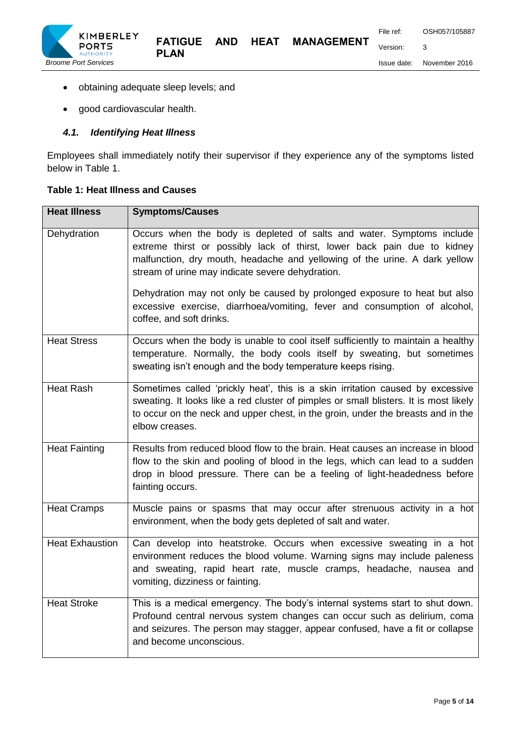

- obtaining adequate sleep levels; and
- good cardiovascular health.

#### *4.1. Identifying Heat Illness*

Employees shall immediately notify their supervisor if they experience any of the symptoms listed below in Table 1.

#### **Table 1: Heat Illness and Causes**

| <b>Heat Illness</b>    | <b>Symptoms/Causes</b>                                                                                                                                                                                                                                                              |
|------------------------|-------------------------------------------------------------------------------------------------------------------------------------------------------------------------------------------------------------------------------------------------------------------------------------|
| Dehydration            | Occurs when the body is depleted of salts and water. Symptoms include<br>extreme thirst or possibly lack of thirst, lower back pain due to kidney<br>malfunction, dry mouth, headache and yellowing of the urine. A dark yellow<br>stream of urine may indicate severe dehydration. |
|                        | Dehydration may not only be caused by prolonged exposure to heat but also<br>excessive exercise, diarrhoea/vomiting, fever and consumption of alcohol,<br>coffee, and soft drinks.                                                                                                  |
| <b>Heat Stress</b>     | Occurs when the body is unable to cool itself sufficiently to maintain a healthy<br>temperature. Normally, the body cools itself by sweating, but sometimes<br>sweating isn't enough and the body temperature keeps rising.                                                         |
| <b>Heat Rash</b>       | Sometimes called 'prickly heat', this is a skin irritation caused by excessive<br>sweating. It looks like a red cluster of pimples or small blisters. It is most likely<br>to occur on the neck and upper chest, in the groin, under the breasts and in the<br>elbow creases.       |
| <b>Heat Fainting</b>   | Results from reduced blood flow to the brain. Heat causes an increase in blood<br>flow to the skin and pooling of blood in the legs, which can lead to a sudden<br>drop in blood pressure. There can be a feeling of light-headedness before<br>fainting occurs.                    |
| <b>Heat Cramps</b>     | Muscle pains or spasms that may occur after strenuous activity in a hot<br>environment, when the body gets depleted of salt and water.                                                                                                                                              |
| <b>Heat Exhaustion</b> | Can develop into heatstroke. Occurs when excessive sweating in a hot<br>environment reduces the blood volume. Warning signs may include paleness<br>and sweating, rapid heart rate, muscle cramps, headache, nausea and<br>vomiting, dizziness or fainting.                         |
| <b>Heat Stroke</b>     | This is a medical emergency. The body's internal systems start to shut down.<br>Profound central nervous system changes can occur such as delirium, coma<br>and seizures. The person may stagger, appear confused, have a fit or collapse<br>and become unconscious.                |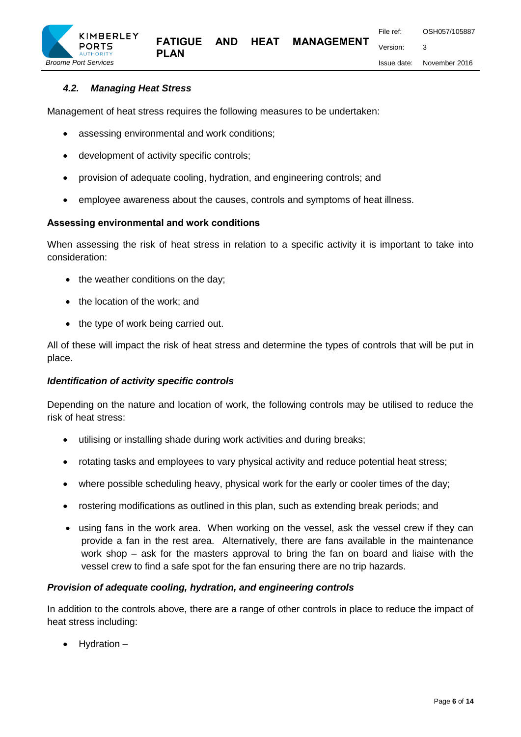# *4.2. Managing Heat Stress*

Management of heat stress requires the following measures to be undertaken:

- assessing environmental and work conditions;
- development of activity specific controls;
- provision of adequate cooling, hydration, and engineering controls; and
- employee awareness about the causes, controls and symptoms of heat illness.

## **Assessing environmental and work conditions**

When assessing the risk of heat stress in relation to a specific activity it is important to take into consideration:

- the weather conditions on the day;
- the location of the work; and
- the type of work being carried out.

All of these will impact the risk of heat stress and determine the types of controls that will be put in place.

# *Identification of activity specific controls*

Depending on the nature and location of work, the following controls may be utilised to reduce the risk of heat stress:

- utilising or installing shade during work activities and during breaks;
- rotating tasks and employees to vary physical activity and reduce potential heat stress;
- where possible scheduling heavy, physical work for the early or cooler times of the day;
- rostering modifications as outlined in this plan, such as extending break periods; and
- using fans in the work area. When working on the vessel, ask the vessel crew if they can provide a fan in the rest area. Alternatively, there are fans available in the maintenance work shop – ask for the masters approval to bring the fan on board and liaise with the vessel crew to find a safe spot for the fan ensuring there are no trip hazards.

## *Provision of adequate cooling, hydration, and engineering controls*

In addition to the controls above, there are a range of other controls in place to reduce the impact of heat stress including:

• Hydration –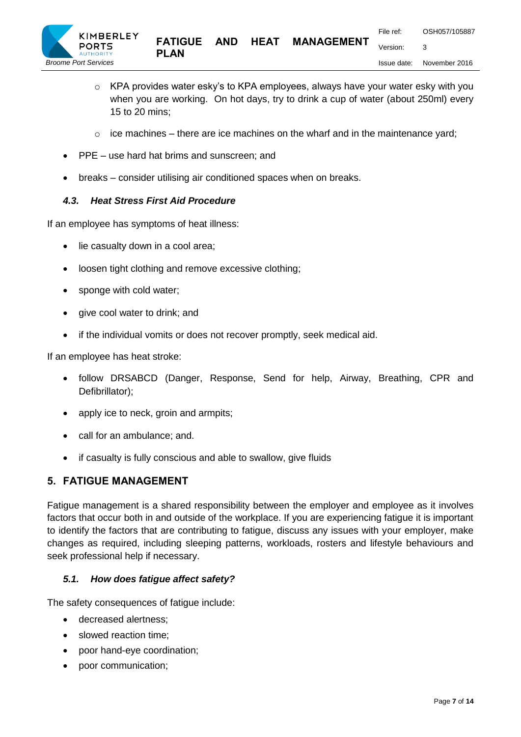

- o KPA provides water esky's to KPA employees, always have your water esky with you when you are working. On hot days, try to drink a cup of water (about 250ml) every 15 to 20 mins;
- $\circ$  ice machines there are ice machines on the wharf and in the maintenance yard;
- PPE use hard hat brims and sunscreen; and
- breaks consider utilising air conditioned spaces when on breaks.

### *4.3. Heat Stress First Aid Procedure*

If an employee has symptoms of heat illness:

- lie casualty down in a cool area;
- loosen tight clothing and remove excessive clothing;
- sponge with cold water;
- give cool water to drink; and
- if the individual vomits or does not recover promptly, seek medical aid.

If an employee has heat stroke:

- follow DRSABCD (Danger, Response, Send for help, Airway, Breathing, CPR and Defibrillator);
- apply ice to neck, groin and armpits;
- call for an ambulance; and.
- if casualty is fully conscious and able to swallow, give fluids

### **5. FATIGUE MANAGEMENT**

Fatigue management is a shared responsibility between the employer and employee as it involves factors that occur both in and outside of the workplace. If you are experiencing fatigue it is important to identify the factors that are contributing to fatigue, discuss any issues with your employer, make changes as required, including sleeping patterns, workloads, rosters and lifestyle behaviours and seek professional help if necessary.

### *5.1. How does fatigue affect safety?*

The safety consequences of fatigue include:

- decreased alertness;
- slowed reaction time;
- poor hand-eye coordination;
- poor communication;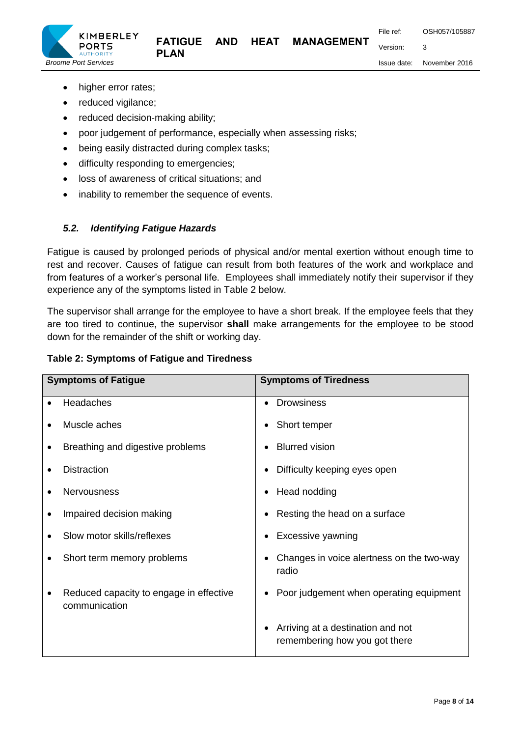**FATIGUE AND HEAT MANAGEMENT** 

File ref: OSH057/105887 Version: 3



Issue date: November 2016

- higher error rates;
- reduced vigilance;
- reduced decision-making ability;
- poor judgement of performance, especially when assessing risks;
- being easily distracted during complex tasks;
- $\bullet$  difficulty responding to emergencies;
- loss of awareness of critical situations; and
- inability to remember the sequence of events.

### *5.2. Identifying Fatigue Hazards*

Fatigue is caused by prolonged periods of physical and/or mental exertion without enough time to rest and recover. Causes of fatigue can result from both features of the work and workplace and from features of a worker's personal life. Employees shall immediately notify their supervisor if they experience any of the symptoms listed in Table 2 below.

The supervisor shall arrange for the employee to have a short break. If the employee feels that they are too tired to continue, the supervisor **shall** make arrangements for the employee to be stood down for the remainder of the shift or working day.

#### **Table 2: Symptoms of Fatigue and Tiredness**

| <b>Symptoms of Fatigue</b> |                                                          | <b>Symptoms of Tiredness</b>                                       |  |
|----------------------------|----------------------------------------------------------|--------------------------------------------------------------------|--|
|                            | <b>Headaches</b>                                         | <b>Drowsiness</b><br>$\bullet$                                     |  |
|                            | Muscle aches                                             | Short temper                                                       |  |
|                            | Breathing and digestive problems                         | <b>Blurred vision</b>                                              |  |
|                            | <b>Distraction</b>                                       | Difficulty keeping eyes open                                       |  |
|                            | <b>Nervousness</b>                                       | Head nodding                                                       |  |
|                            | Impaired decision making                                 | Resting the head on a surface                                      |  |
|                            | Slow motor skills/reflexes                               | Excessive yawning                                                  |  |
|                            | Short term memory problems                               | Changes in voice alertness on the two-way<br>radio                 |  |
|                            | Reduced capacity to engage in effective<br>communication | Poor judgement when operating equipment                            |  |
|                            |                                                          | Arriving at a destination and not<br>remembering how you got there |  |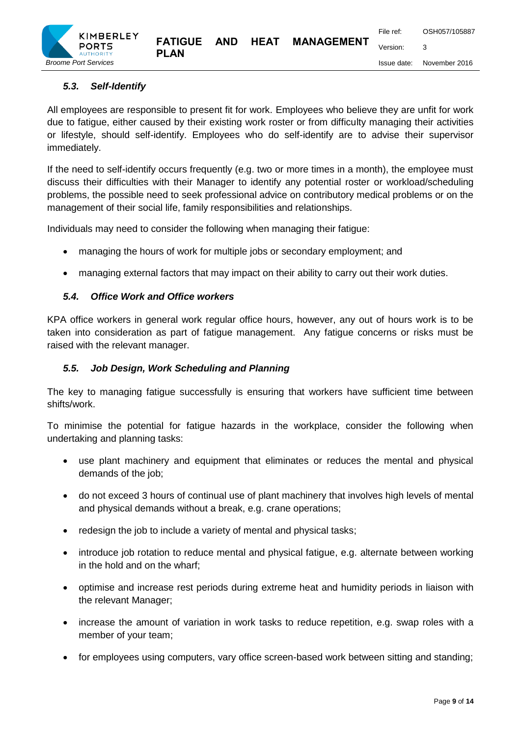

### *5.3. Self-Identify*

All employees are responsible to present fit for work. Employees who believe they are unfit for work due to fatigue, either caused by their existing work roster or from difficulty managing their activities or lifestyle, should self-identify. Employees who do self-identify are to advise their supervisor immediately.

If the need to self-identify occurs frequently (e.g. two or more times in a month), the employee must discuss their difficulties with their Manager to identify any potential roster or workload/scheduling problems, the possible need to seek professional advice on contributory medical problems or on the management of their social life, family responsibilities and relationships.

Individuals may need to consider the following when managing their fatigue:

- managing the hours of work for multiple jobs or secondary employment; and
- managing external factors that may impact on their ability to carry out their work duties.

### *5.4. Office Work and Office workers*

KPA office workers in general work regular office hours, however, any out of hours work is to be taken into consideration as part of fatigue management. Any fatigue concerns or risks must be raised with the relevant manager.

### *5.5. Job Design, Work Scheduling and Planning*

The key to managing fatigue successfully is ensuring that workers have sufficient time between shifts/work.

To minimise the potential for fatigue hazards in the workplace, consider the following when undertaking and planning tasks:

- use plant machinery and equipment that eliminates or reduces the mental and physical demands of the job;
- do not exceed 3 hours of continual use of plant machinery that involves high levels of mental and physical demands without a break, e.g. crane operations;
- redesign the job to include a variety of mental and physical tasks;
- introduce job rotation to reduce mental and physical fatigue, e.g. alternate between working in the hold and on the wharf;
- optimise and increase rest periods during extreme heat and humidity periods in liaison with the relevant Manager;
- increase the amount of variation in work tasks to reduce repetition, e.g. swap roles with a member of your team;
- for employees using computers, vary office screen-based work between sitting and standing;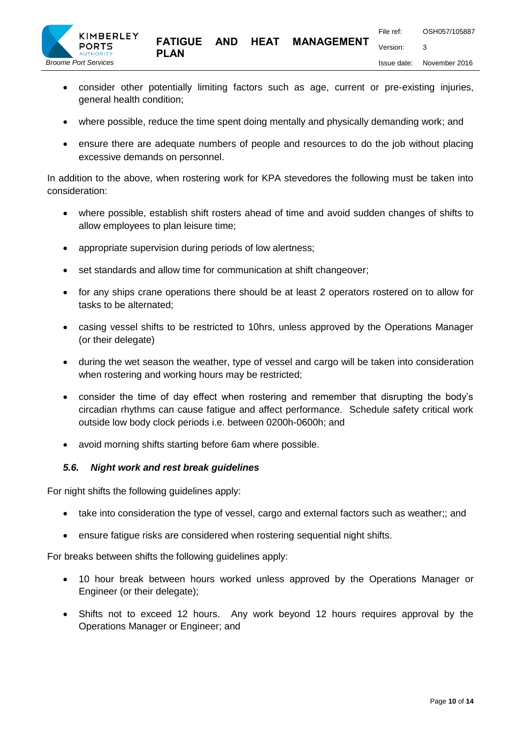- consider other potentially limiting factors such as age, current or pre-existing injuries, general health condition;
- where possible, reduce the time spent doing mentally and physically demanding work; and
- ensure there are adequate numbers of people and resources to do the job without placing excessive demands on personnel.

In addition to the above, when rostering work for KPA stevedores the following must be taken into consideration:

- where possible, establish shift rosters ahead of time and avoid sudden changes of shifts to allow employees to plan leisure time;
- appropriate supervision during periods of low alertness;
- set standards and allow time for communication at shift changeover;
- for any ships crane operations there should be at least 2 operators rostered on to allow for tasks to be alternated;
- casing vessel shifts to be restricted to 10hrs, unless approved by the Operations Manager (or their delegate)
- during the wet season the weather, type of vessel and cargo will be taken into consideration when rostering and working hours may be restricted;
- consider the time of day effect when rostering and remember that disrupting the body's circadian rhythms can cause fatigue and affect performance. Schedule safety critical work outside low body clock periods i.e. between 0200h-0600h; and
- avoid morning shifts starting before 6am where possible.

#### *5.6. Night work and rest break guidelines*

For night shifts the following guidelines apply:

- take into consideration the type of vessel, cargo and external factors such as weather;; and
- ensure fatigue risks are considered when rostering sequential night shifts.

For breaks between shifts the following guidelines apply:

- 10 hour break between hours worked unless approved by the Operations Manager or Engineer (or their delegate);
- Shifts not to exceed 12 hours. Any work beyond 12 hours requires approval by the Operations Manager or Engineer; and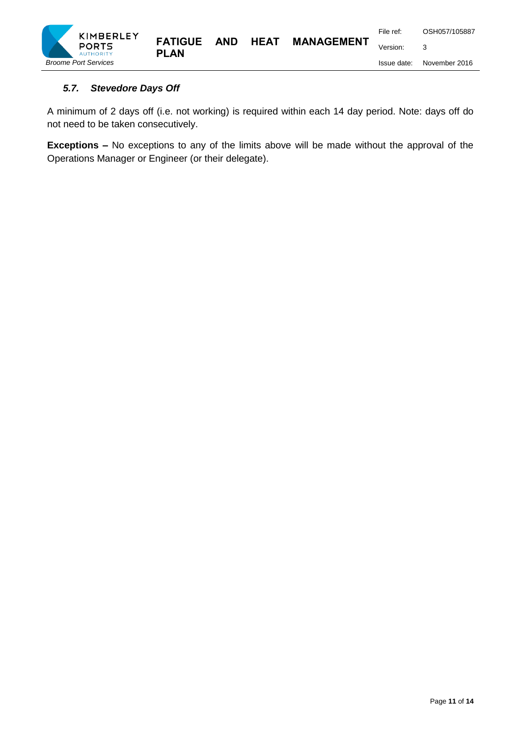

### *5.7. Stevedore Days Off*

A minimum of 2 days off (i.e. not working) is required within each 14 day period. Note: days off do not need to be taken consecutively.

**Exceptions –** No exceptions to any of the limits above will be made without the approval of the Operations Manager or Engineer (or their delegate).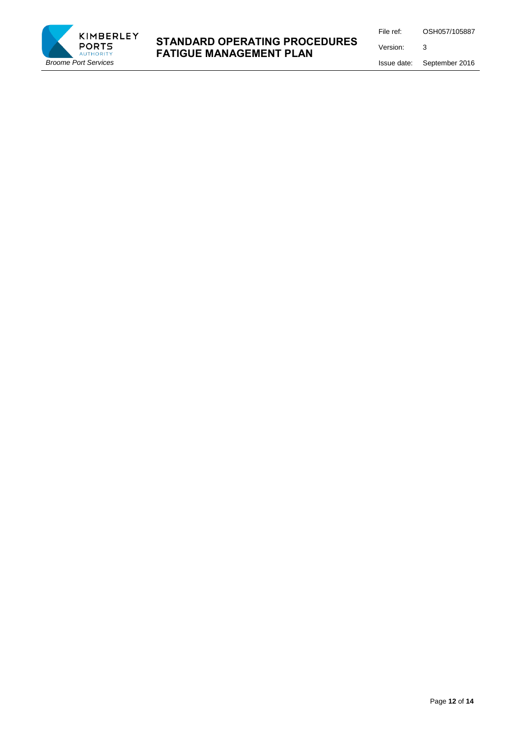

## **STANDARD OPERATING PROCEDURES FATIGUE MANAGEMENT PLAN**

File ref: OSH057/105887 Version: 3

Issue date: September 2016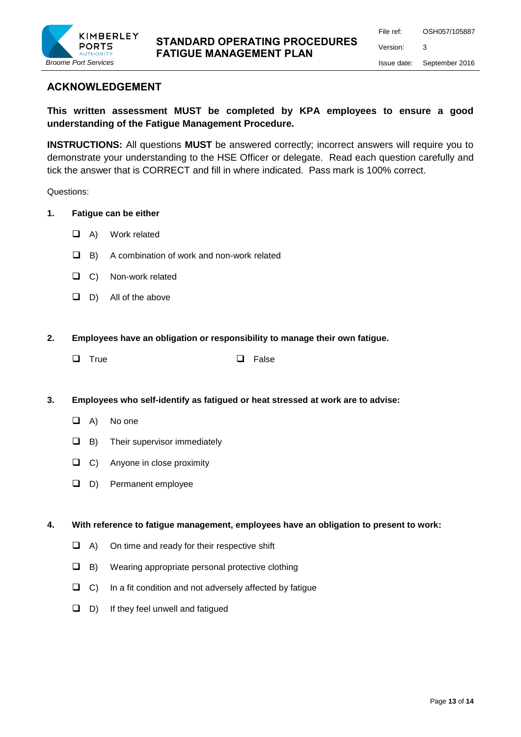

## **ACKNOWLEDGEMENT**

### **This written assessment MUST be completed by KPA employees to ensure a good understanding of the Fatigue Management Procedure.**

**INSTRUCTIONS:** All questions **MUST** be answered correctly; incorrect answers will require you to demonstrate your understanding to the HSE Officer or delegate. Read each question carefully and tick the answer that is CORRECT and fill in where indicated. Pass mark is 100% correct.

#### Questions:

#### **1. Fatigue can be either**

- A) Work related
- B) A combination of work and non-work related
- C) Non-work related
- $\Box$  D) All of the above

#### **2. Employees have an obligation or responsibility to manage their own fatigue.**

 $\Box$  True  $\Box$  False

#### **3. Employees who self-identify as fatigued or heat stressed at work are to advise:**

- $\Box$  A) No one
- $\Box$  B) Their supervisor immediately
- $\Box$  C) Anyone in close proximity
- D) Permanent employee

#### **4. With reference to fatigue management, employees have an obligation to present to work:**

- $\Box$  A) On time and ready for their respective shift
- $\Box$  B) Wearing appropriate personal protective clothing
- $\Box$  C) In a fit condition and not adversely affected by fatigue
- $\Box$  D) If they feel unwell and fatigued